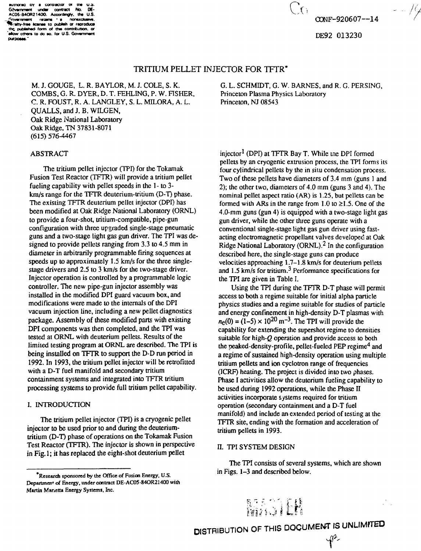**auinoraa OY • conoacior en tna us . Gjvammant undar contact No. OE-AC05-840R21400. Accordnojy. tha U.S. ../•nvarnmam ratara • • nonaxduaN\*. ^fcVattv-fraa h w— to piA\*ah or raproduo\* th£ pufafafwd form of tfw contributor. Of "alow otMrt to do ao. lot U.S. Govammant pvpoaaa.'**

# OONF-920607—14

DE92 013230

#### TRITIUM PELLET INJECTOR FOR TFTR'

M. J. GOUGE, L. R. BAYLOR, M. J. COLE, S. K. COMBS, G. R. DYER, D. T. FEHLING, P. W. FISHER, C. R. FOUST, R. A. LANGLEY, S. L. MILORA, A. L. QUALLS, and J. B. WELGEN, Oak Ridge National Laboratory Oak Ridge, TN 37831-8071 (615) 576-4467

## ABSTRACT

The tritium pellet injector (TPI) for the Tokamak Fusion Test Reactor (TFTR) will provide a tritium pellet fueling capability with pellet speeds in the 1 - to 3 km/s range for the TFTR deuterium-tritium (D-T) phase. The existing TFTR deuterium pellet injector (DPI) has been modified at Oak Ridge National Laboratory (ORNL) to provide a four-shot, tritium-compatible, pipe-gun configuration with three upgraded single-stage pneumatic guns and a two-stage light gas gun driver. The TPI was designed to provide pellets ranging from 3.3 to 4.5 mm in diameter in arbitrarily programmable firing sequences at speeds up to approximately 1.5 km/s for the three singlestage drivers and 2.5 to 3 km/s for the two-stage driver. Injector operation is controlled by a programmable logic controller. The new pipe-gun injector assembly was installed in the modified DPI guard vacuum box, and modifications were made to the internals of the DPI vacuum injection line, including a new pellet diagnostics package. Assembly of these modified parts with existing DPI components was then completed, and the TPI was tested at ORNL with deuterium pellets. Results of the limited testing program at ORNL are described. The TPI is being installed on TFTR to support the D-D run period in 1992. In 1993, the tritium pellet injector will be retrofitted with a D-T fuel manifold and secondary tritium containment systems and integrated into TFTR tritium processing systems to provide full tritium pellet capability.

#### I. INTRODUCTION

The tritium pellet injector (TPI) is a cryogenic pellet injector to be used prior to and during the deuteriumtritium (D-T) phase of operations on the Tokamak Fusion Test Reactor (TFTR). The injector is shown in perspective in Fig.l; it has replaced the eight-shot deuterium pellet

G. L. SCHMIDT, G. W. BARNES, and R. G. PERSING, Princeton Plasma Physics Laboratory Princeton, NJ 08543

 $C_{\text{O}}$ 

injector<sup>1</sup> (DPI) at TFTR Bay T. While tne DPI formed pellets by an cryogenic extrusion process, the TPI forms its four cylindrical pellets by the in situ condensation process. Two of these pellets have diameters of 3.4 mm (guns 1 and 2); the other two, diameters of 4.0 mm (guns 3 and 4). The nominal pellet aspect ratio (AR) is 1.25, but pellets can be formed with ARs in the range from 1.0 to  $\geq$ 1.5. One of the 4.0-mm guns (gun 4) is equipped with a two-stage light gas gun driver, while ihe other three guns operate with a conventional single-stage light gas gun driver using fastacting electromagnetic propellant valves developed at Oak Ridge National Laboratory (ORNL).<sup>2</sup> In the configuration described here, the single-stage guns can produce velocities approaching 1.7-1.8 km/s for deuterium pellets  $\frac{1}{5}$  km/s for tritium.<sup>3</sup> Performance specifications for the TPI are given in Table I.

Using the TPI during the TFTR D-T phase will permit access to both a regime suitable for initial alpha particle physics studies and a regime suitable for studies of particle and energy confinement in high-density D-T plasmas with  $n_e(0) = (1-5) \times 10^{20}$  m<sup>-3</sup>. The TPI will provide the capability for extending the supershot regime to densities suitable for high-Q operation and provide access to both the peaked-density-profile, pellet-fueled PEP regime<sup>4</sup> and a regime of sustained high-density operation using multiple tritium pellets and ion cyclotron range of frequencies (ICRF) healing. The project is divided into two phases. Phase I activities allow the deuterium fueling capability to be used during 1992 operations, while the Phase II activities incorporate systems required for tritium operation (secondary containment and a D-T fuel manifold) and include an extended period of testing at the TFTR site, ending with the formation and acceleration of tritium pellets in 1993.

#### n. TPI SYSTEM DESIGN

The TPI consists of several systems, which are shown in Figs. 1-3 and described below.

MAGIEN

**<sup>&#</sup>x27;Research sponsored by the Office of Fusion Energy, U.S. Department of Energy, under contract DE-AC05-84OR21400 with Martin Marietta Energy Systems, Inc.**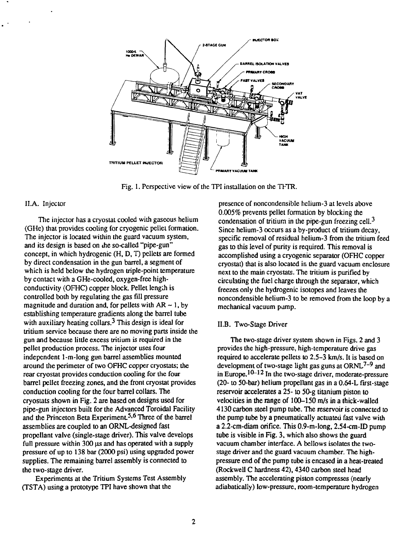

Fig. 1. Perspective view of the TPI installation on the TFTR.

#### II.A. Injector

The injector has a cryostat cooled with gaseous helium (GHe) that provides cooling for cryogenic pellet formation. The injector is located within the guard vacuum system, and its design is based on die so-called "pipe-gun" concept, in which hydrogenic (H, D, T) pellets are formed by direct condensation in the gun barrel, a segment of which is held below the hydrogen triple-point temperature by contact with a GHe-cooled, oxygen-free highconductivity (OFHC) copper block. Pellet length is controlled both by regulating the gas fill pressure magnitude and duration and, for pellets with  $AR \sim 1$ , by establishing temperature gradients along the barrel tube with auxiliary heating collars. $3$  This design is ideal for tritium service because there are no moving parts inside the gun and because little excess tritium is required in the pellet production process. The injector uses four independent 1-m-long gun barrel assemblies mounted around the perimeter of two OFHC copper cryostats; the rear cryostat provides conduction cooling for the four barrel pellet freezing zones, and the front cryostat provides conduction cooling for the four barrel collars. The cryostats shown in Fig. 2 are based on designs used for pipe-gun injectors built for the Advanced Toroidal Facility and the Princeton Beta Experiment.<sup>5,6</sup> Three of the barrel assemblies are coupled to an ORNL-designed fast propellant valve (single-stage driver). This valve develops full pressure within 300 us and has operated with a supply pressure of up to 138 bar (2000 psi) using upgraded power supplies. The remaining barrel assembly is connected to the two-stage driver.

Experiments at the Tritium Systems Test Assembly (TSTA) using a prototype TPI have shown that the

presence of noncondensible helium-3 at levels above 0.005% prevents pellet formation by blocking the condensation of tritium in the pipe-gun freezing cell.<sup>3</sup> Since helium-3 occurs as a by-product of tritium decay. specific removal of residual helium-3 from the tritium feed gas to this level of purity is required. This removal is accomplished using a cryogenic separator (OFHC copper cryostat) that is also located in the guard vacuum enclosure next to the main cryostats. The tritium is purified by circulating the fuel charge through the separator, which freezes only the hydrogenic isotopes and leaves the noncondensible helium-3 to be removed from the loop by a mechanical vacuum pump.

## II.B. Two-Stage Driver

The two-stage driver system shown in Figs. 2 and 3 provides the high-pressure, high-temperature drive gas required to accelerate pellets to 2.5-3 km/s. It is based on development of two-stage light gas guns at ORNL<sup>7–9</sup> and in Europe.<sup>10–12</sup> In the two-stage driver, moderate-pressure  $(20 -$  to 50-bar) helium propellant gas in a  $0.64$ -L first-stage reservoir accelerates a 25- to 50-g titanium piston to velocities in the range of 100-150 m/s in a thick-walled 4130 carbon steel pump tube. The reservoir is connected to the pump tube by a pneumatically actuated fast valve with a 2.2-cm-diam orifice. This 0.9-m-long, 2.54-cm-ID pump tube is visible in Fig. 3, which also shows the guard vacuum chamber interface. A bellows isolates the twostage driver and the guard vacuum chamber. The highpressure end of the pump tube is encased in a heat-treated (Rockwell C hardness 42), 4340 carbon steel head assembly. The accelerating piston compresses (nearly adiabatically) low-pressure, room-temperature hydrogen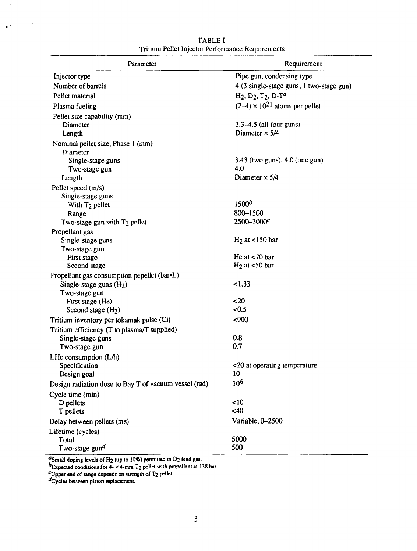| Parameter                                             | Requirement                              |
|-------------------------------------------------------|------------------------------------------|
| Injector type                                         | Pipe gun, condensing type                |
| Number of barrels                                     | 4 (3 single-stage guns, 1 two-stage gun) |
| Pellet material                                       | $H_2, D_2, T_2, D-T^a$                   |
| Plasma fueling                                        | $(2-4) \times 10^{21}$ atoms per pellet  |
| Pellet size capability (mm)                           |                                          |
| Diameter                                              | $3.3-4.5$ (all four guns)                |
| Length                                                | Diameter $\times$ 5/4                    |
| Nominal pellet size, Phase 1 (mm)                     |                                          |
| Diameter                                              |                                          |
| Single-stage guns                                     | 3.43 (two guns), 4.0 (one gun)           |
| Two-stage gun                                         | 4.0                                      |
| Length                                                | Diameter $\times$ 5/4                    |
| Pellet speed (m/s)                                    |                                          |
| Single-stage guns                                     |                                          |
| With $T_2$ pellet                                     | 1500 <sup>b</sup>                        |
| Range                                                 | 800-1500                                 |
| Two-stage gun with T <sub>2</sub> pellet              | 2500-3000 <sup>c</sup>                   |
| Propellant gas                                        |                                          |
| Single-stage guns                                     | $H2$ at <150 bar                         |
| Two-stage gun                                         |                                          |
| First stage                                           | He at $<$ 70 bar                         |
| Second stage                                          | $H_2$ at <50 bar                         |
| Propellant gas consumption pepellet (bar•L)           |                                          |
| Single-stage guns $(H2)$                              | < 1.33                                   |
| Two-stage gun                                         |                                          |
| First stage (He)                                      | < 20                                     |
| Second stage $(H2)$                                   | < 0.5                                    |
| Tritium inventory per tokamak pulse (Ci)              | $900$                                    |
| Tritium efficiency (T to plasma/T supplied)           |                                          |
| Single-stage guns                                     | 0.8                                      |
| Two-stage gun                                         | 0.7                                      |
| LHe consumption $(L/h)$                               |                                          |
| Specification                                         | <20 at operating temperature             |
| Design goal                                           | 10                                       |
| Design radiation dose to Bay T of vacuum vessel (rad) | 10 <sup>6</sup>                          |
| Cycle time (min)                                      |                                          |
| D pellets                                             | ~10                                      |
| T pellets                                             | <40                                      |
| Delay between pellets (ms)                            | Variable, 0-2500                         |
| Lifetime (cycles)                                     |                                          |
| Total                                                 | 5000                                     |
| Two-stage gun <sup>d</sup>                            | 500                                      |

TABLE I Tritium Pellet Injector Performance Requirements

**"Small doping levels of H2 (up to 10%) permitted in D2 feed gas.**

 $^{\prime\prime}$ Expected conditions for 4- $\times$  4-mrn T<sub>2</sub> pellet with propellant at 138 bar.

**'-Upper end of range depends on strength of T2 pellet-**

**''Cycles between piston replacement.**

 $\hat{\mathbf{v}}$ 

 $\sqrt{2}$  ,  $\sqrt{2}$ 

 $\epsilon$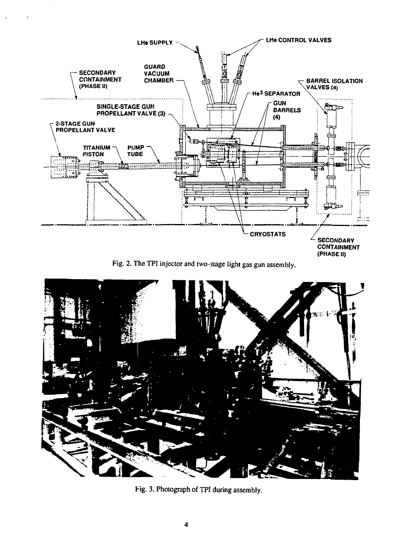

Fig. 2. The TPI injector and two-stage light gas gun assembly.



Fig. 3. Photograph of TPI during assembly.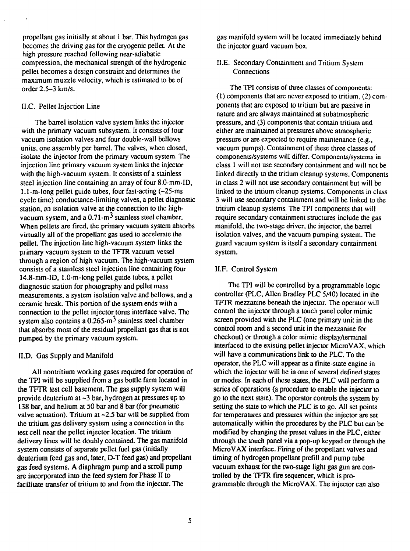propellant gas initially at about 1 bar. This hydrogen gas becomes the driving gas for the cryogenic pellet. At the high pressure reached following near-adiabatic compression, the mechanical strength of the hydrogenic pellet becomes a design constraint and determines the maximum muzzle velocity, which is estimated to be of order 2.5-3 km/s.

## II.C. Pellet Injection Line

The barrel isolation valve system links the injector with the primary vacuum subsystem. It consists of four vacuum isolation valves and four double-wall bellows units, one assembly per barrel. The valves, when closed, isolate the injector from the primary vacuum system. The injection line primary vacuum system links the injector with the high-vacuum system. It consists of a stainless steel injection line containing an array of four 8.0-mm-ID, 1.1-m-long pellet guide tubes, four fast-acting (~25-ms cycle time) conductance-limiting valves, a pellet diagnostic station, an isolation valve at the connection to the highvacuum system, and a  $0.71 \text{ m}^3$  stainless steel chamber. When pellets are fired, the primary vacuum system absorbs virtually all of the propellant gas used to accelerate the pellet. The injection line high-vacuum system links the primary vacuum system to the TFTR vacuum vessel through a region of high vacuum. The high-vacuum system consists of a stainless steel injection line containing four 14.8-mm-ID, 1.0-m-long pellet guide tubes, a pellet diagnostic station for photography and pellet mass measurements, a system isolation valve and bellows, and a ceramic break. This portion of the system ends with a connection to the pellet injector torus interface valve. The system also contains a  $0.265 \cdot m^3$  stainless steel chamber that absorbs most of the residual propellant gas that is not pumped by the primary vacuum system.

## II.D. Gas Supply and Manifold

All nontritium working gases required for operation of the TPI will be supplied from a gas bottle farm located in the TFTR test cell basement. The gas supply system will provide deuterium at ~3 bar, hydrogen at pressures up to 138 bar, and helium at 50 bar and 8 bar (for pneumatic valve actuation). Tritium at  $\sim$  2.5 bar will be supplied from the tritium gas delivery system using a connection in the test cell near the pellet injector location. The tritium delivery lines will be doubly contained. The gas manifold system consists of separate pellet fuel gas (initially deuterium feed gas and, later, D-T feed gas) and propellant gas feed systems. A diaphragm pump and a scroll pump are incorporated into the feed system for Phase II to facilitate transfer of tritium to and from the injector. The

gas manifold system will be located immediately behind the injector guard vacuum box.

II.E. Secondary Containment and Tritium System **Connections** 

The TPI consists of three classes of components: (1) components that are never exposed to tritium, (2) components that are exposed to tritium but are passive in nature and are always maintained at subatmospheric pressure, and (3) components that contain tritium and either are maintained at pressures above atmospheric pressure or are expected to require maintenance (e.g., vacuum pumps). Containment of these three classes of components/systems will differ. Components/systems in class 1 will not use secondary containment and will not be linked directly to the tritium cleanup systems. Components in class 2 will not use secondary containment but will be linked to the tritium cleanup systems. Components in class 3 will use secondary containment and will be linked to the tritium cleanup systems. The TPI components that will require secondary containment structures include the gas manifold, the two-stage driver, the injector, the barrel isolation valves, and the vacuum pumping system. The guard vacuum system is itself a secondary containment system.

## II.F. Control System

The TPI will be controlled by a programmable logic controller (PLC. Allen Bradley PLC 5/40) located in the TFTR mezzanine beneath the injector. The operator will control the injector through a touch panel color mimic screen provided with the PLC (one primary unit in the control room and a second unit in the mezzanine for checkout) or through a color mimic display/terminal interfaced to the existing pellet injector MicroVAX, which will have a communications link to the PLC. To the operator, the PLC will appear as a finite-state engine in which the injector will be in one of several defined states or modes. In each of these states, the PLC will perform a series of operations (a procedure to enable the injector to go to the next state). The operator controls the system by setting the state to which the PLC is to go. All set points for temperatures and pressures within the injector are set automatically within the procedures by the PLC but can be modified by changing the preset values in the PLC, either through the touch panel via a pop-up keypad or through the MicroVAX interface. Firing of the propellant valves and timing of hydrogen propellant prefill and pump tube vacuum exhaust for the two-stage light gas gun are controlled by the TFTR fire sequencer, which is programmable through the MicroVAX. The injector can also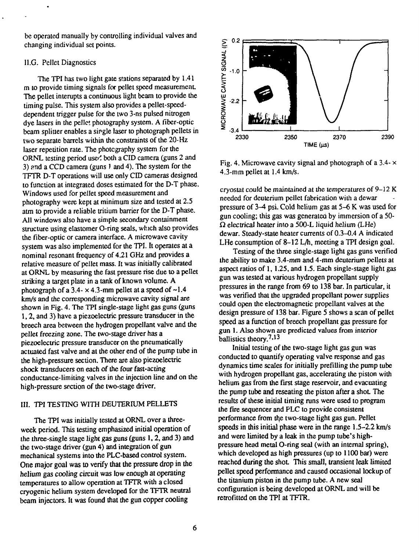be operated manually by controlling individual valves and changing individual set points.

## 1I.G. Pellet Diagnostics

The TPI has two light gate stations separated by 1.41 m to provide timing signals for pellet speed measurement. The pellet interupts a continuous light beam to provide the timing pulse. This system also provides a pellet-speeddependent trigger pulse for the two 3-ns pulsed nitrogen dye lasers in the pellet photography system. A fiber-optic beam splitter enables a single laser to photograph pellets in two separate barrels within the constraints of the 20-Hz laser repetition rate. The photography system for the ORNL testing period used both a CID camera (guns 2 and 3) and a CCD camera (guns *)* and 4). The system for the TFTR D-T operations will use only CID cameras designed to function at integrated doses estimated for the D-T phase. Windows used for pellet speed measurement and photography were kept at minimum size and tested at 2.5 atm to provide a reliable tritium barrier for the D-T phase. All windows also have a simple secondary containment structure using elastomer O-ring seals, which also provides the fiber-optic or camera interface. A microwave cavity system was also implemented for the TPI. It operates at a nominal resonant frequency of 4.21 GHz and provides a relative measure of pellet mass. It was initially calibrated at ORNL by measuring the fast pressure rise due to a pellet striking a target plate in a tank of known volume. A photograph of a 3.4- $\times$  4.3-mm pellet at a speed of  $\sim$ 1.4 km/s and the corresponding microwave cavity signal are shown in Fig. 4. The TPI single-stage light gas guns (guns 1,2, and 3) have a piezoelectric pressure transducer in the breech area between the hydrogen propellant valve and the pellet freezing zone. The two-stage driver has a petier freezing zone. The two-stage driver has a piezoelectric pressure transulated on the puculitativally actuated fast valve and at the other end of the pump tube in the high-pressure section. There are also piezoelectric shock transducers on each of the four fast-acting conductance-limiting valves in the injection line and on the high-pressure section of the two-stage driver.

#### III. TPI TESTING WITH DEUTERIUM PELLETS

The TPI was initially tested at ORNL over a threeweek period. This testing emphasized initial operation of the three-single stage light gas guns (guns 1,2, and 3) and the two-stage driver (gun 4) and integration of gun mechanical systems into the PLC-based control system. One major goal was to verify that the pressure drop in the helium gas cooling circuit was low enough at operating temperatures to allow operation at TFTR with a closed cryogenic helium system developed for the TFTR neutral beam injectors. It was found that the gun copper cooling



Fig. 4. Microwave cavity signal and photograph of a  $3.4 - x$ 4.3-mm pellet at 1.4 km/s.

cryostat could be maintained at the temperatures of  $9-12$  K needed for deuterium pellet fabrication with a dewar pressure of 3-4 psi. Cold helium gas at 5-6 K was used for gun cooling; this gas was generateo by immersion of a 50-  $\Omega$  electrical heater into a 500-L liquid helium (LHe) dewar. Steady-state heater currents of 0.3-0.4 A indicated LHe consumption of 8–12 L/h, meeting a TPI design goal.

Testing of the three single-stage light gas guns verified the ability to make 3.4-mm and 4-mm deuterium pellets at aspect ratios of 1, 1.25, and 1.5. Each single-stage light gas gun was tested at various hydrogen propellant supply pressures in the range from 69 to 138 bar. In particular, it was verified that the upgraded propellant power supplies could open the electromagnetic propellant valves at the design pressure of 138 bar. Figure 5 shows a scan of pellet speed as a function of breech propellant gas pressure for gun 1. Also shown are predicted values from interior  $ballistics$  theory.<sup>7,13</sup>

Initial testing of the two-stage light gas gun was conducted to quantify operating valve response and gas dynamics time scales for initially prefiUing the pump tube with hydrogen propellant gas, accelerating the piston with helium gas from the first stage reservoir, and evacuating the pump tube and reseating the piston after a shot. The results of these initial timing runs were used to program the fire sequencer and PLC to provide consistent performance from the two-stage light gas gun. Pellet speeds in this initial phase were in the range 1.5-2.2 km/s and were limited by a leak in the pump tube's highpressure head metal O-ring seal (with an internal spring), which developed as high pressures (up to 1100 bar) were reached during the shot. This small, transient leak limited pellet speed performance and caused occasional lockup of the titanium piston in the pump tube. A new seal configuration is being developed at ORNL and will be retrofitted on the TPI at TFTR.